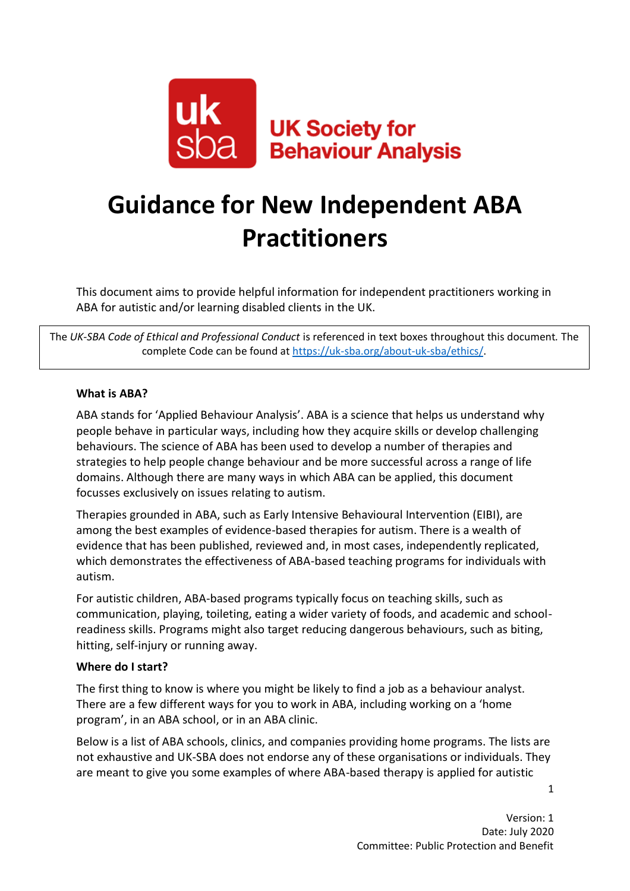

# **Guidance for New Independent ABA Practitioners**

This document aims to provide helpful information for independent practitioners working in ABA for autistic and/or learning disabled clients in the UK.

The *UK-SBA Code of Ethical and Professional Conduct* is referenced in text boxes throughout this document*.* The complete Code can be found at [https://uk-sba.org/about-uk-sba/ethics/.](https://uk-sba.org/about-uk-sba/ethics/)

#### **What is ABA?**

ABA stands for 'Applied Behaviour Analysis'. ABA is a science that helps us understand why people behave in particular ways, including how they acquire skills or develop challenging behaviours. The science of ABA has been used to develop a number of therapies and strategies to help people change behaviour and be more successful across a range of life domains. Although there are many ways in which ABA can be applied, this document focusses exclusively on issues relating to autism.

Therapies grounded in ABA, such as Early Intensive Behavioural Intervention (EIBI), are among the best examples of evidence-based therapies for autism. There is a wealth of evidence that has been published, reviewed and, in most cases, independently replicated, which demonstrates the effectiveness of ABA-based teaching programs for individuals with autism.

For autistic children, ABA-based programs typically focus on teaching skills, such as communication, playing, toileting, eating a wider variety of foods, and academic and schoolreadiness skills. Programs might also target reducing dangerous behaviours, such as biting, hitting, self-injury or running away.

#### **Where do I start?**

The first thing to know is where you might be likely to find a job as a behaviour analyst. There are a few different ways for you to work in ABA, including working on a 'home program', in an ABA school, or in an ABA clinic.

Below is a list of ABA schools, clinics, and companies providing home programs. The lists are not exhaustive and UK-SBA does not endorse any of these organisations or individuals. They are meant to give you some examples of where ABA-based therapy is applied for autistic

1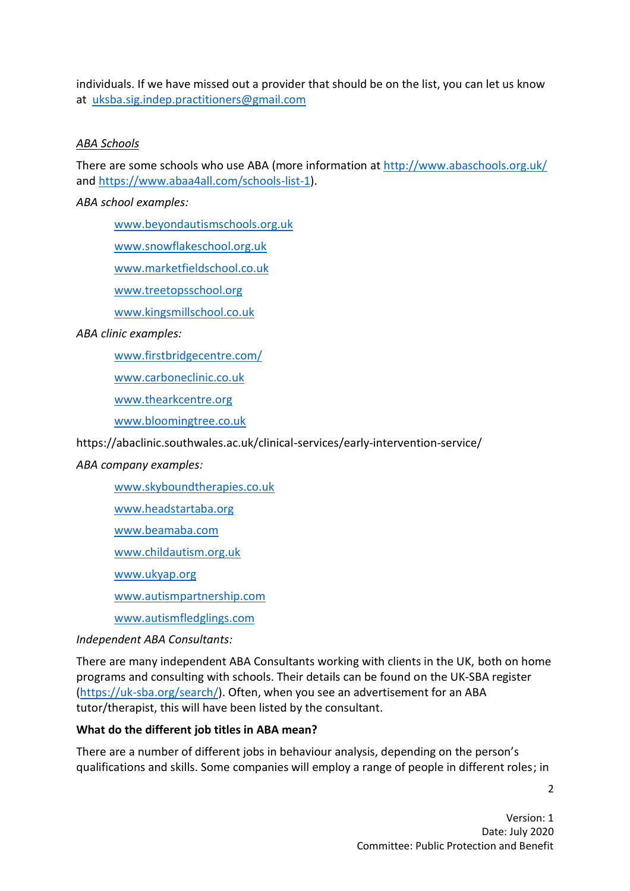individuals. If we have missed out a provider that should be on the list, you can let us know at [uksba.sig.indep.practitioners@gmail.com](file:///C:/Users/Sam/Documents/UK-SBA%20Docs/Archives/Archive/1.%20New%20Website/1.%20Final%20Docs%20for%20Website/All%20Policies%20Docs%20Apr%202020/Docs%20and%20Policies%20-%2001%20Apr%202020/Published%20on%20Website/uksba.sig.indep.practitioners@gmail.com)

### *ABA Schools*

There are some schools who use ABA (more information at<http://www.abaschools.org.uk/> and [https://www.abaa4all.com/schools-list-1\)](https://www.abaa4all.com/schools-list-1).

*ABA school examples:*

[www.beyondautismschools.org.uk](http://www.beyondautismschools.org.uk/)

[www.snowflakeschool.org.uk](http://www.snowflakeschool.org.uk/)

[www.marketfieldschool.co.uk](http://www.marketfieldschool.co.uk/)

[www.treetopsschool.org](http://www.treetopsschool.org/)

[www.kingsmillschool.co.uk](http://www.kingsmillschool.co.uk/)

*ABA clinic examples:*

[www.firstbridgecentre.com/](https://www.firstbridgecentre.com/)

[www.carboneclinic.co.uk](http://www.carboneclinic.co.uk/)

[www.thearkcentre.org](http://www.thearkcentre.org/)

[www.bloomingtree.co.uk](http://www.bloomingtree.co.uk/)

https://abaclinic.southwales.ac.uk/clinical-services/early-intervention-service/

#### *ABA company examples:*

[www.skyboundtherapies.co.uk](http://www.skyboundtherapies.co.uk/)

[www.headstartaba.org](http://www.headstartaba.org/)

[www.beamaba.com](http://www.beamaba.com/)

[www.childautism.org.uk](http://www.childautism.org.uk/)

[www.ukyap.org](http://www.ukyap.org/)

[www.autismpartnership.com](http://www.autismpartnership.com/)

[www.autismfledglings.com](https://www.autismfledglings.com/)

*Independent ABA Consultants:*

There are many independent ABA Consultants working with clients in the UK, both on home programs and consulting with schools. Their details can be found on the UK-SBA register [\(https://uk-sba.org/search/\)](https://uk-sba.org/search/). Often, when you see an advertisement for an ABA tutor/therapist, this will have been listed by the consultant.

#### **What do the different job titles in ABA mean?**

There are a number of different jobs in behaviour analysis, depending on the person's qualifications and skills. Some companies will employ a range of people in different roles; in

 $\mathcal{L}$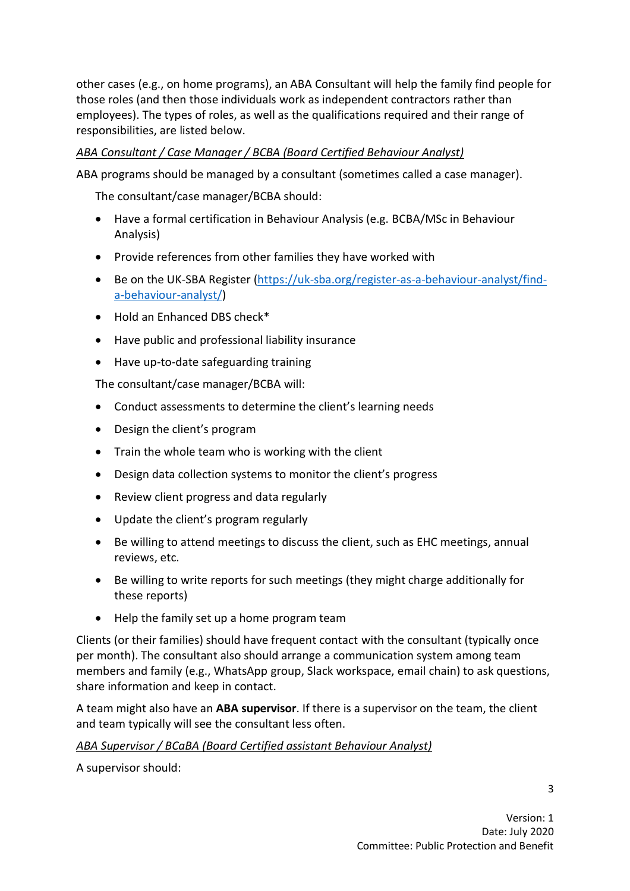other cases (e.g., on home programs), an ABA Consultant will help the family find people for those roles (and then those individuals work as independent contractors rather than employees). The types of roles, as well as the qualifications required and their range of responsibilities, are listed below.

## *ABA Consultant / Case Manager / BCBA (Board Certified Behaviour Analyst)*

ABA programs should be managed by a consultant (sometimes called a case manager).

The consultant/case manager/BCBA should:

- Have a formal certification in Behaviour Analysis (e.g. BCBA/MSc in Behaviour Analysis)
- Provide references from other families they have worked with
- Be on the UK-SBA Register [\(https://uk-sba.org/register-as-a-behaviour-analyst/find](https://uk-sba.org/register-as-a-behaviour-analyst/find-a-behaviour-analyst/)[a-behaviour-analyst/\)](https://uk-sba.org/register-as-a-behaviour-analyst/find-a-behaviour-analyst/)
- Hold an Enhanced DBS check\*
- Have public and professional liability insurance
- Have up-to-date safeguarding training

The consultant/case manager/BCBA will:

- Conduct assessments to determine the client's learning needs
- Design the client's program
- Train the whole team who is working with the client
- Design data collection systems to monitor the client's progress
- Review client progress and data regularly
- Update the client's program regularly
- Be willing to attend meetings to discuss the client, such as EHC meetings, annual reviews, etc.
- Be willing to write reports for such meetings (they might charge additionally for these reports)
- Help the family set up a home program team

Clients (or their families) should have frequent contact with the consultant (typically once per month). The consultant also should arrange a communication system among team members and family (e.g., WhatsApp group, Slack workspace, email chain) to ask questions, share information and keep in contact.

A team might also have an **ABA supervisor**. If there is a supervisor on the team, the client and team typically will see the consultant less often.

### *ABA Supervisor / BCaBA (Board Certified assistant Behaviour Analyst)*

A supervisor should: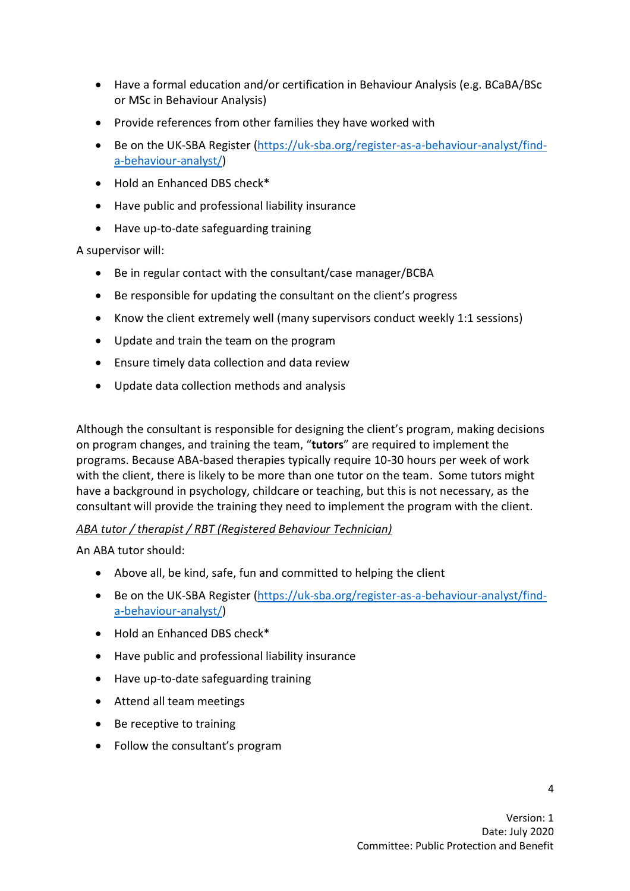- Have a formal education and/or certification in Behaviour Analysis (e.g. BCaBA/BSc or MSc in Behaviour Analysis)
- Provide references from other families they have worked with
- Be on the UK-SBA Register [\(https://uk-sba.org/register-as-a-behaviour-analyst/find](https://uk-sba.org/register-as-a-behaviour-analyst/find-a-behaviour-analyst/)[a-behaviour-analyst/\)](https://uk-sba.org/register-as-a-behaviour-analyst/find-a-behaviour-analyst/)
- Hold an Enhanced DBS check\*
- Have public and professional liability insurance
- Have up-to-date safeguarding training

A supervisor will:

- Be in regular contact with the consultant/case manager/BCBA
- Be responsible for updating the consultant on the client's progress
- Know the client extremely well (many supervisors conduct weekly 1:1 sessions)
- Update and train the team on the program
- Ensure timely data collection and data review
- Update data collection methods and analysis

Although the consultant is responsible for designing the client's program, making decisions on program changes, and training the team, "**tutors**" are required to implement the programs. Because ABA-based therapies typically require 10-30 hours per week of work with the client, there is likely to be more than one tutor on the team. Some tutors might have a background in psychology, childcare or teaching, but this is not necessary, as the consultant will provide the training they need to implement the program with the client.

### *ABA tutor / therapist / RBT (Registered Behaviour Technician)*

An ABA tutor should:

- Above all, be kind, safe, fun and committed to helping the client
- Be on the UK-SBA Register [\(https://uk-sba.org/register-as-a-behaviour-analyst/find](https://uk-sba.org/register-as-a-behaviour-analyst/find-a-behaviour-analyst/)[a-behaviour-analyst/\)](https://uk-sba.org/register-as-a-behaviour-analyst/find-a-behaviour-analyst/)
- Hold an Enhanced DBS check\*
- Have public and professional liability insurance
- Have up-to-date safeguarding training
- Attend all team meetings
- Be receptive to training
- Follow the consultant's program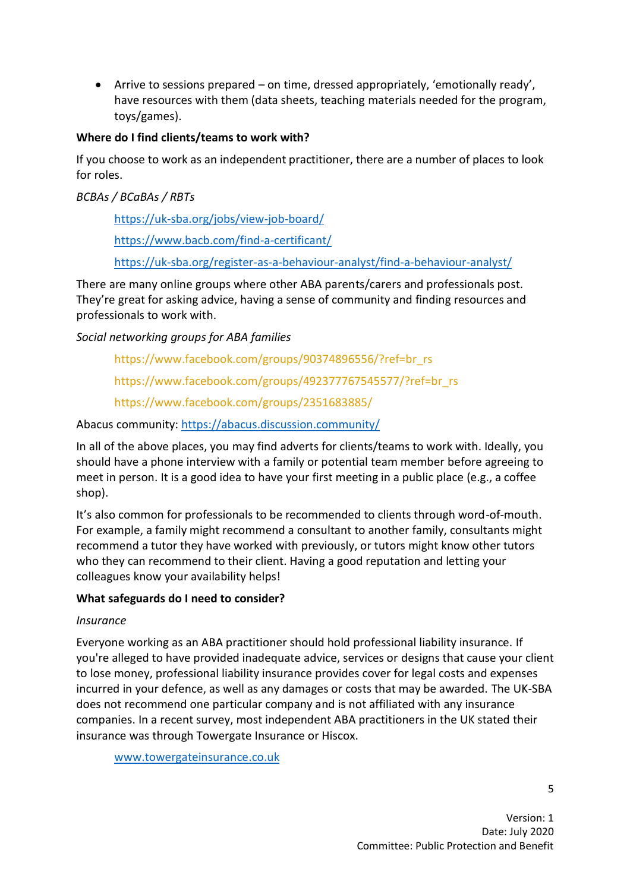• Arrive to sessions prepared – on time, dressed appropriately, 'emotionally ready', have resources with them (data sheets, teaching materials needed for the program, toys/games).

#### **Where do I find clients/teams to work with?**

If you choose to work as an independent practitioner, there are a number of places to look for roles.

*BCBAs / BCaBAs / RBTs*

<https://uk-sba.org/jobs/view-job-board/>

<https://www.bacb.com/find-a-certificant/>

<https://uk-sba.org/register-as-a-behaviour-analyst/find-a-behaviour-analyst/>

There are many online groups where other ABA parents/carers and professionals post. They're great for asking advice, having a sense of community and finding resources and professionals to work with.

*Social networking groups for ABA families*

[https://www.facebook.com/groups/90374896556/?ref=br\\_rs](https://www.facebook.com/groups/90374896556/?ref=br_rs)

[https://www.facebook.com/groups/492377767545577/?ref=br\\_rs](https://www.facebook.com/groups/492377767545577/?ref=br_rs)

<https://www.facebook.com/groups/2351683885/>

Abacus community:<https://abacus.discussion.community/>

In all of the above places, you may find adverts for clients/teams to work with. Ideally, you should have a phone interview with a family or potential team member before agreeing to meet in person. It is a good idea to have your first meeting in a public place (e.g., a coffee shop).

It's also common for professionals to be recommended to clients through word-of-mouth. For example, a family might recommend a consultant to another family, consultants might recommend a tutor they have worked with previously, or tutors might know other tutors who they can recommend to their client. Having a good reputation and letting your colleagues know your availability helps!

### **What safeguards do I need to consider?**

#### *Insurance*

Everyone working as an ABA practitioner should hold professional liability insurance. If you're alleged to have provided inadequate advice, services or designs that cause your client to lose money, professional liability insurance provides cover for legal costs and expenses incurred in your defence, as well as any damages or costs that may be awarded. The UK-SBA does not recommend one particular company and is not affiliated with any insurance companies. In a recent survey, most independent ABA practitioners in the UK stated their insurance was through Towergate Insurance or Hiscox.

[www.towergateinsurance.co.uk](http://www.towergateinsurance.co.uk/)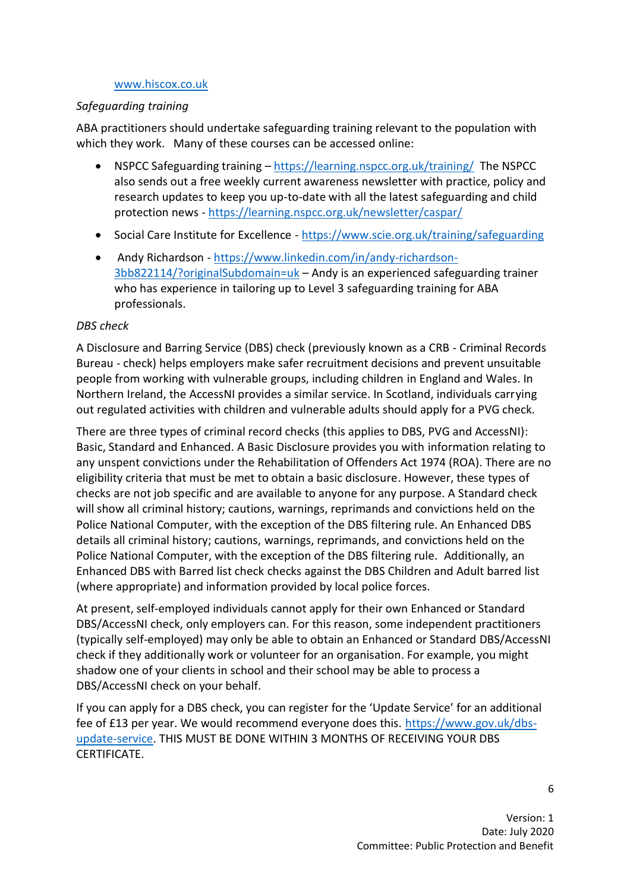#### [www.hiscox.co.uk](http://www.hiscox.co.uk/)

#### *Safeguarding training*

ABA practitioners should undertake safeguarding training relevant to the population with which they work. Many of these courses can be accessed online:

- NSPCC Safeguarding training <https://learning.nspcc.org.uk/training/>The NSPCC also sends out a free weekly current awareness newsletter with practice, policy and research updates to keep you up-to-date with all the latest safeguarding and child protection news - <https://learning.nspcc.org.uk/newsletter/caspar/>
- Social Care Institute for Excellence <https://www.scie.org.uk/training/safeguarding>
- Andy Richardson [https://www.linkedin.com/in/andy-richardson-](https://www.linkedin.com/in/andy-richardson-3bb822114/?originalSubdomain=uk)[3bb822114/?originalSubdomain=uk](https://www.linkedin.com/in/andy-richardson-3bb822114/?originalSubdomain=uk) – Andy is an experienced safeguarding trainer who has experience in tailoring up to Level 3 safeguarding training for ABA professionals.

#### *DBS check*

A Disclosure and Barring Service (DBS) check (previously known as a CRB - Criminal Records Bureau - check) helps employers make safer recruitment decisions and prevent unsuitable people from working with vulnerable groups, including children in England and Wales. In Northern Ireland, the AccessNI provides a similar service. In Scotland, individuals carrying out regulated activities with children and vulnerable adults should apply for a PVG check.

There are three types of criminal record checks (this applies to DBS, PVG and AccessNI): Basic, Standard and Enhanced. A Basic Disclosure provides you with information relating to any unspent convictions under the Rehabilitation of Offenders Act 1974 (ROA). There are no eligibility criteria that must be met to obtain a basic disclosure. However, these types of checks are not job specific and are available to anyone for any purpose. A Standard check will show all criminal history; cautions, warnings, reprimands and convictions held on the Police National Computer, with the exception of the DBS filtering rule. An Enhanced DBS details all criminal history; cautions, warnings, reprimands, and convictions held on the Police National Computer, with the exception of the DBS filtering rule. Additionally, an Enhanced DBS with Barred list check checks against the DBS Children and Adult barred list (where appropriate) and information provided by local police forces.

At present, self-employed individuals cannot apply for their own Enhanced or Standard DBS/AccessNI check, only employers can. For this reason, some independent practitioners (typically self-employed) may only be able to obtain an Enhanced or Standard DBS/AccessNI check if they additionally work or volunteer for an organisation. For example, you might shadow one of your clients in school and their school may be able to process a DBS/AccessNI check on your behalf.

If you can apply for a DBS check, you can register for the 'Update Service' for an additional fee of £13 per year. We would recommend everyone does this. [https://www.gov.uk/dbs](https://www.gov.uk/dbs-update-service)[update-service.](https://www.gov.uk/dbs-update-service) THIS MUST BE DONE WITHIN 3 MONTHS OF RECEIVING YOUR DBS CERTIFICATE.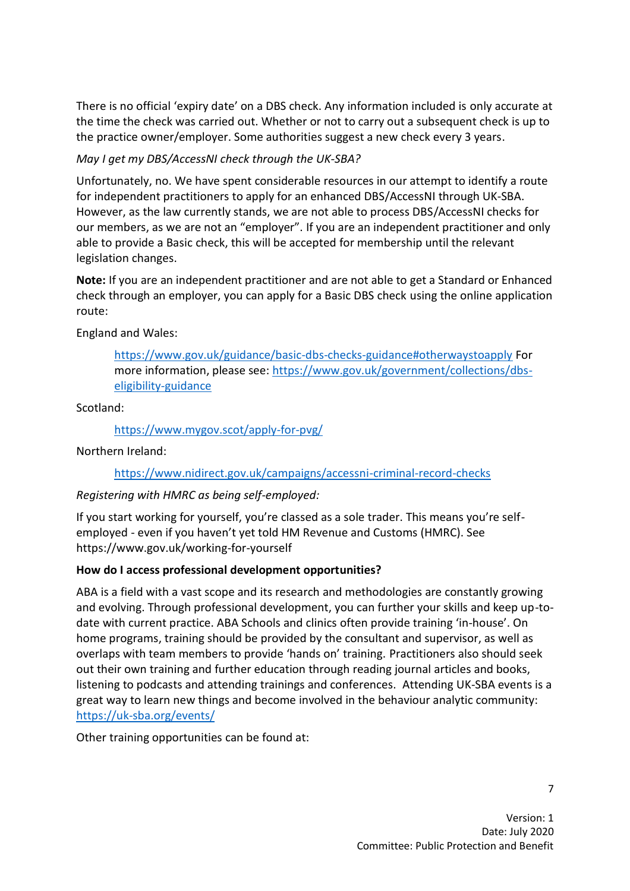There is no official 'expiry date' on a DBS check. Any information included is only accurate at the time the check was carried out. Whether or not to carry out a subsequent check is up to the practice owner/employer. Some authorities suggest a new check every 3 years.

## *May I get my DBS/AccessNI check through the UK-SBA?*

Unfortunately, no. We have spent considerable resources in our attempt to identify a route for independent practitioners to apply for an enhanced DBS/AccessNI through UK-SBA. However, as the law currently stands, we are not able to process DBS/AccessNI checks for our members, as we are not an "employer". If you are an independent practitioner and only able to provide a Basic check, this will be accepted for membership until the relevant legislation changes.

**Note:** If you are an independent practitioner and are not able to get a Standard or Enhanced check through an employer, you can apply for a Basic DBS check using the online application route:

England and Wales:

<https://www.gov.uk/guidance/basic-dbs-checks-guidance#otherwaystoapply> For more information, please see: [https://www.gov.uk/government/collections/dbs](https://www.gov.uk/government/collections/dbs-eligibility-guidance)[eligibility-guidance](https://www.gov.uk/government/collections/dbs-eligibility-guidance)

Scotland:

<https://www.mygov.scot/apply-for-pvg/>

Northern Ireland:

### <https://www.nidirect.gov.uk/campaigns/accessni-criminal-record-checks>

### *Registering with HMRC as being self-employed:*

If you start working for yourself, you're classed as a sole trader. This means you're selfemployed - even if you haven't yet told HM Revenue and Customs (HMRC). See https://www.gov.uk/working-for-yourself

### **How do I access professional development opportunities?**

ABA is a field with a vast scope and its research and methodologies are constantly growing and evolving. Through professional development, you can further your skills and keep up-todate with current practice. ABA Schools and clinics often provide training 'in-house'. On home programs, training should be provided by the consultant and supervisor, as well as overlaps with team members to provide 'hands on' training. Practitioners also should seek out their own training and further education through reading journal articles and books, listening to podcasts and attending trainings and conferences. Attending UK-SBA events is a great way to learn new things and become involved in the behaviour analytic community: <https://uk-sba.org/events/>

Other training opportunities can be found at: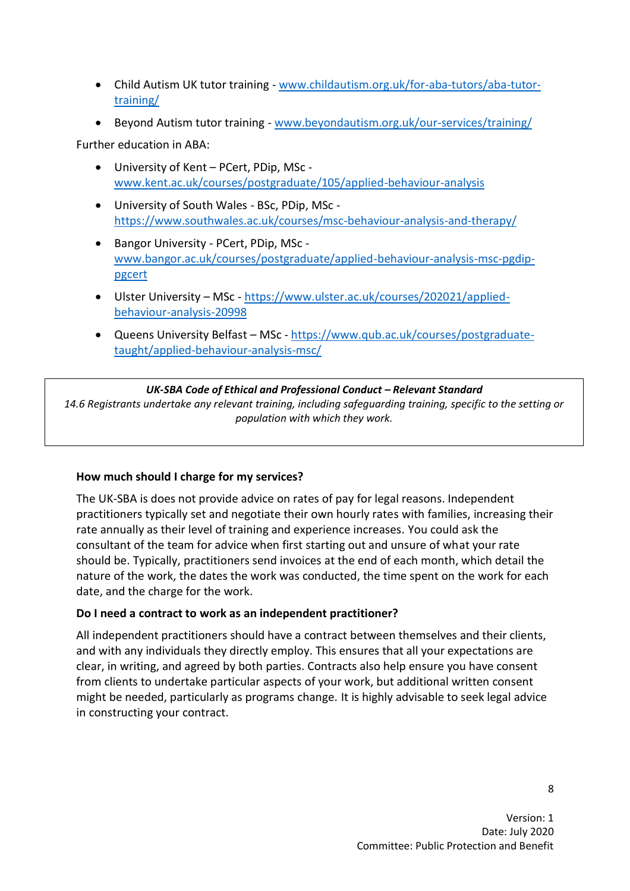- Child Autism UK tutor training [www.childautism.org.uk/for-aba-tutors/aba-tutor](https://www.childautism.org.uk/for-aba-tutors/aba-tutor-training/)[training/](https://www.childautism.org.uk/for-aba-tutors/aba-tutor-training/)
- Beyond Autism tutor training [www.beyondautism.org.uk/our-services/training/](https://www.beyondautism.org.uk/our-services/training/)

Further education in ABA:

- University of Kent PCert, PDip, MSc [www.kent.ac.uk/courses/postgraduate/105/applied-behaviour-analysis](https://www.kent.ac.uk/courses/postgraduate/105/applied-behaviour-analysis)
- University of South Wales BSc, PDip, MSc <https://www.southwales.ac.uk/courses/msc-behaviour-analysis-and-therapy/>
- Bangor University PCert, PDip, MSc [www.bangor.ac.uk/courses/postgraduate/applied-behaviour-analysis-msc-pgdip](https://www.bangor.ac.uk/courses/postgraduate/applied-behaviour-analysis-msc-pgdip-pgcert)[pgcert](https://www.bangor.ac.uk/courses/postgraduate/applied-behaviour-analysis-msc-pgdip-pgcert)
- Ulster University MSc [https://www.ulster.ac.uk/courses/202021/applied](https://www.ulster.ac.uk/courses/202021/applied-behaviour-analysis-20998)[behaviour-analysis-20998](https://www.ulster.ac.uk/courses/202021/applied-behaviour-analysis-20998)
- Queens University Belfast MSc [https://www.qub.ac.uk/courses/postgraduate](https://www.qub.ac.uk/courses/postgraduate-taught/applied-behaviour-analysis-msc/)[taught/applied-behaviour-analysis-msc/](https://www.qub.ac.uk/courses/postgraduate-taught/applied-behaviour-analysis-msc/)

#### *UK-SBA Code of Ethical and Professional Conduct – Relevant Standard*

*14.6 Registrants undertake any relevant training, including safeguarding training, specific to the setting or population with which they work.*

### **How much should I charge for my services?**

The UK-SBA is does not provide advice on rates of pay for legal reasons. Independent practitioners typically set and negotiate their own hourly rates with families, increasing their rate annually as their level of training and experience increases. You could ask the consultant of the team for advice when first starting out and unsure of what your rate should be. Typically, practitioners send invoices at the end of each month, which detail the nature of the work, the dates the work was conducted, the time spent on the work for each date, and the charge for the work.

#### **Do I need a contract to work as an independent practitioner?**

All independent practitioners should have a contract between themselves and their clients, and with any individuals they directly employ. This ensures that all your expectations are clear, in writing, and agreed by both parties. Contracts also help ensure you have consent from clients to undertake particular aspects of your work, but additional written consent might be needed, particularly as programs change. It is highly advisable to seek legal advice in constructing your contract.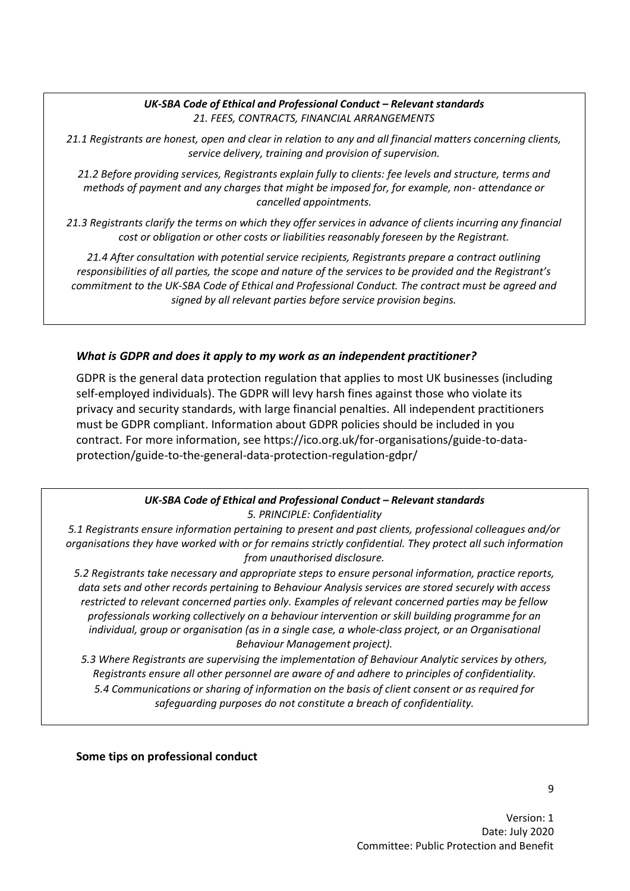#### UK-SBA Code of Ethical and Professional Conduct - Relevant standards *21. FEES, CONTRACTS, FINANCIAL ARRANGEMENTS*

*21.1 Registrants are honest, open and clear in relation to any and all financial matters concerning clients, service delivery, training and provision of supervision.*

*21.2 Before providing services, Registrants explain fully to clients: fee levels and structure, terms and methods of payment and any charges that might be imposed for, for example, non- attendance or cancelled appointments.*

*21.3 Registrants clarify the terms on which they offer services in advance of clients incurring any financial cost or obligation or other costs or liabilities reasonably foreseen by the Registrant.*

*21.4 After consultation with potential service recipients, Registrants prepare a contract outlining responsibilities of all parties, the scope and nature of the services to be provided and the Registrant's commitment to the UK-SBA Code of Ethical and Professional Conduct. The contract must be agreed and signed by all relevant parties before service provision begins.*

#### *What is GDPR and does it apply to my work as an independent practitioner?*

GDPR is the general data protection regulation that applies to most UK businesses (including self-employed individuals). The GDPR will levy harsh fines against those who violate its privacy and security standards, with large financial penalties. All independent practitioners must be GDPR compliant. Information about GDPR policies should be included in you contract. For more information, see https://ico.org.uk/for-organisations/guide-to-dataprotection/guide-to-the-general-data-protection-regulation-gdpr/

#### *UK-SBA Code of Ethical and Professional Conduct – Relevant standards 5. PRINCIPLE: Confidentiality*

*5.1 Registrants ensure information pertaining to present and past clients, professional colleagues and/or organisations they have worked with or for remains strictly confidential. They protect all such information from unauthorised disclosure.*

*5.2 Registrants take necessary and appropriate steps to ensure personal information, practice reports, data sets and other records pertaining to Behaviour Analysis services are stored securely with access restricted to relevant concerned parties only. Examples of relevant concerned parties may be fellow professionals working collectively on a behaviour intervention or skill building programme for an individual, group or organisation (as in a single case, a whole-class project, or an Organisational Behaviour Management project).*

*5.3 Where Registrants are supervising the implementation of Behaviour Analytic services by others, Registrants ensure all other personnel are aware of and adhere to principles of confidentiality. 5.4 Communications or sharing of information on the basis of client consent or as required for safeguarding purposes do not constitute a breach of confidentiality.*

#### **Some tips on professional conduct**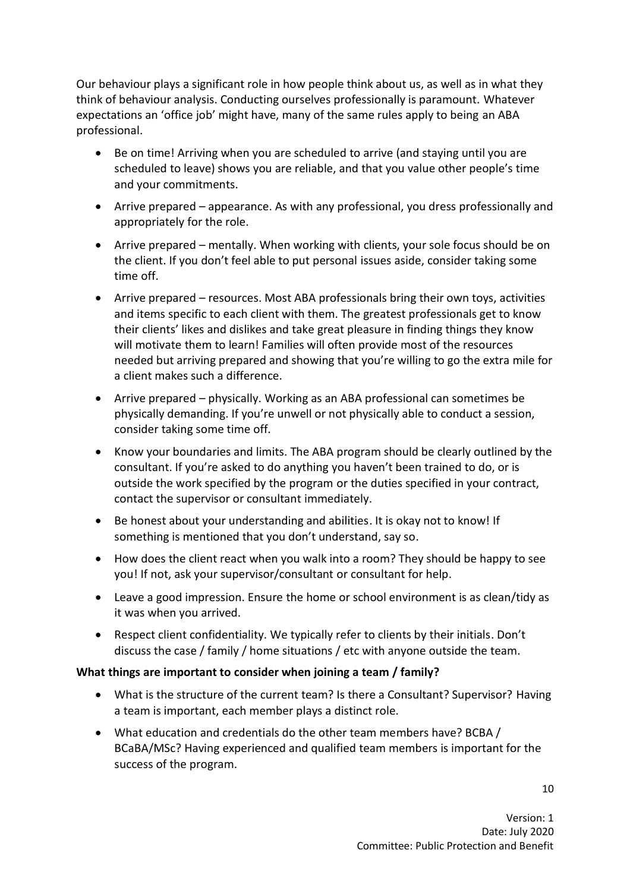Our behaviour plays a significant role in how people think about us, as well as in what they think of behaviour analysis. Conducting ourselves professionally is paramount. Whatever expectations an 'office job' might have, many of the same rules apply to being an ABA professional.

- Be on time! Arriving when you are scheduled to arrive (and staying until you are scheduled to leave) shows you are reliable, and that you value other people's time and your commitments.
- Arrive prepared appearance. As with any professional, you dress professionally and appropriately for the role.
- Arrive prepared mentally. When working with clients, your sole focus should be on the client. If you don't feel able to put personal issues aside, consider taking some time off.
- Arrive prepared resources. Most ABA professionals bring their own toys, activities and items specific to each client with them. The greatest professionals get to know their clients' likes and dislikes and take great pleasure in finding things they know will motivate them to learn! Families will often provide most of the resources needed but arriving prepared and showing that you're willing to go the extra mile for a client makes such a difference.
- Arrive prepared physically. Working as an ABA professional can sometimes be physically demanding. If you're unwell or not physically able to conduct a session, consider taking some time off.
- Know your boundaries and limits. The ABA program should be clearly outlined by the consultant. If you're asked to do anything you haven't been trained to do, or is outside the work specified by the program or the duties specified in your contract, contact the supervisor or consultant immediately.
- Be honest about your understanding and abilities. It is okay not to know! If something is mentioned that you don't understand, say so.
- How does the client react when you walk into a room? They should be happy to see you! If not, ask your supervisor/consultant or consultant for help.
- Leave a good impression. Ensure the home or school environment is as clean/tidy as it was when you arrived.
- Respect client confidentiality. We typically refer to clients by their initials. Don't discuss the case / family / home situations / etc with anyone outside the team.

#### **What things are important to consider when joining a team / family?**

- What is the structure of the current team? Is there a Consultant? Supervisor? Having a team is important, each member plays a distinct role.
- What education and credentials do the other team members have? BCBA / BCaBA/MSc? Having experienced and qualified team members is important for the success of the program.